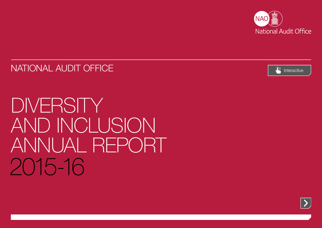

NATIONAL AUDIT OFFICE [Interactive](#page-1-0) and the state of the state of the state of the state of the interactive



DIVERSITY AND INCLUSION ANNUAL REPORT 2015-16

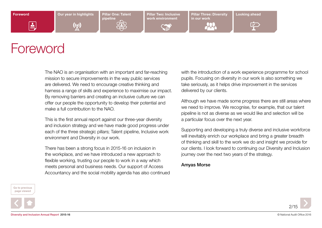[Our year in highlights](#page-2-0) **Pillar One: Talent** 

 $\mathfrak{c}_\chi$ 

pipeline

work environment

[Pillar Two: Inclusive](#page-7-0) Later Pillar Three: Diversity [Looking ahead](#page-13-0) in our work



# Foreword

<span id="page-1-0"></span>ė.

The NAO is an organisation with an important and far-reaching mission to secure improvements in the way public services are delivered. We need to encourage creative thinking and harness a range of skills and experience to maximise our impact. By removing barriers and creating an inclusive culture we can offer our people the opportunity to develop their potential and make a full contribution to the NAO.

This is the first annual report against our three-year diversity and inclusion strategy and we have made good progress under each of the three strategic pillars; Talent pipeline, Inclusive work environment and Diversity in our work.

There has been a strong focus in 2015-16 on inclusion in the workplace, and we have introduced a new approach to flexible working, trusting our people to work in a way which meets personal and business needs. Our support of Access Accountancy and the social mobility agenda has also continued with the introduction of a work experience programme for school pupils. Focusing on diversity in our work is also something we take seriously, as it helps drive improvement in the services delivered by our clients.

Although we have made some progress there are still areas where we need to improve. We recognise, for example, that our talent pipeline is not as diverse as we would like and selection will be a particular focus over the next year.

Supporting and developing a truly diverse and inclusive workforce will inevitably enrich our workplace and bring a greater breadth of thinking and skill to the work we do and insight we provide for our clients. I look forward to continuing our Diversity and Inclusion journey over the next two years of the strategy.

### Amyas Morse

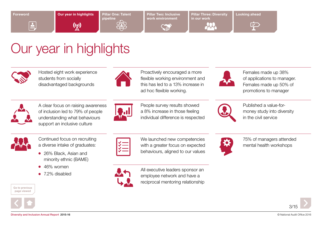<span id="page-2-0"></span>

 $\triangle$ 

Our year in highlights

 $\binom{n}{k}$ 

[Pillar One: Talent](#page-3-0)  pipeline

work environment

[Pillar Two: Inclusive](#page-7-0) Later Pillar Three: Diversity [Looking ahead](#page-13-0) in our work



 $\curvearrowleft$ 

# Our year in highlights



Hosted eight work experience students from socially disadvantaged backgrounds



Proactively encouraged a more flexible working environment and this has led to a 13% increase in ad hoc flexible working.



Females made up 38% of applications to manager. Females made up 50% of promotions to manager

A clear focus on raising awareness of inclusion led to 79% of people understanding what behaviours support an inclusive culture



People survey results showed a 8% increase in those feeling individual difference is respected



Published a value-formoney study into diversity in the civil service



Continued focus on recruiting a diverse intake of graduates:

- 26% Black, Asian and minority ethnic (BAME)
- $\bullet$  46% women
- $\bullet$  7.2% disabled







behaviours, aligned to our values

We launched new competencies with a greater focus on expected



All executive leaders sponsor an employee network and have a reciprocal mentoring relationship



75% of managers attended mental health workshops

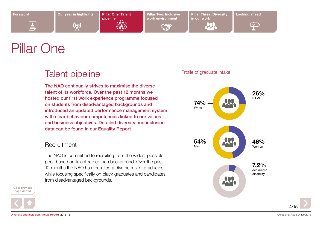[Our year in highlights](#page-2-0) **Pillar One: Talent** 

 $\binom{n}{k}$ 

pipeline

work environment

[Pillar Two: Inclusive](#page-7-0) Later Pillar Three: Diversity [Looking ahead](#page-13-0) in our work



 $\overline{\mathbf{Y}}$ 

# Pillar One

<span id="page-3-0"></span> $\triangleq$ 

## Talent pipeline

The NAO continually strives to maximise the diverse talent of its workforce. Over the past 12 months we hosted our first work experience programme focused on students from disadvantaged backgrounds and introduced an updated performance management system with clear behaviour competencies linked to our values and business objectives. Detailed diversity and inclusion data can be found in our [Equality Report](https://www.nao.org.uk/wp-content/uploads/2016/06/Equality-data-2015-16.xlsx)

### **Recruitment**

The NAO is committed to recruiting from the widest possible pool, based on talent rather than background. Over the past 12 months the NAO has recruited a diverse mix of graduates while focusing specifically on black graduates and candidates from disadvantaged backgrounds.





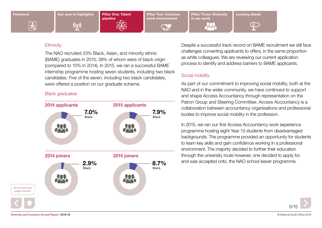

 $\triangleq$ 

 $\binom{n}{k}$ 

[Pillar One: Talent](#page-3-0)  pipeline

work environment

[Pillar Two: Inclusive](#page-7-0) Later Pillar Three: Diversity [Looking ahead](#page-13-0) in our work

 $\blacktriangledown$ 

### **Ethnicity**

The NAO recruited 23% Black, Asian, and minority ethnic (BAME) graduates in 2015; 38% of whom were of black origin (compared to 10% in 2014). In 2015, we ran a successful BAME internship programme hosting seven students, including two black candidates. Five of the seven, including two black candidates, were offered a position on our graduate scheme.

### Black graduates



Despite a successful track record on BAME recruitment we still face challenges converting applicants to offers, in the same proportion as white colleagues. We are reviewing our current application process to identify and address barriers to BAME applicants.

### Social mobility

As part of our commitment to improving social mobility, both at the NAO and in the wider community, we have continued to support and shape Access Accountancy through representation on the Patron Group and Steering Committee. Access Accountancy is a collaboration between accountancy organisations and professional bodies to improve social mobility in the profession.

In 2015, we ran our first Access Accountancy work experience programme hosting eight Year 13 students from disadvantaged backgrounds. The programme provided an opportunity for students to learn key skills and gain confidence working in a professional environment. The majority decided to further their education through the university route however, one decided to apply for, and was accepted onto, the NAO school leaver programme.

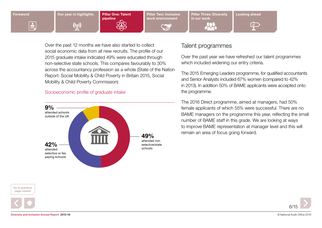

Over the past 12 months we have also started to collect social economic data from all new recruits. The profile of our 2015 graduate intake indicated 49% were educated through non-selective state schools. This compares favourably to 30% across the accountancy profession as a whole (State of the Nation Report: Social Mobility & Child Poverty in Britain 2015, Social Mobility & Child Poverty Commission)

### Socioeconomic profile of graduate intake



### Go to previous page viewed





### Talent programmes

Over the past year we have refreshed our talent programmes which included widening our entry criteria.

The 2015 Emerging Leaders programme, for qualified accountants and Senior Analysts included 67% women (compared to 42% in 2013). In addition 50% of BAME applicants were accepted onto the programme.

The 2016 Direct programme, aimed at managers, had 50% female applicants of which 55% were successful. There are no BAME managers on the programme this year, reflecting the small number of BAME staff in this grade. We are looking at ways to improve BAME representation at manager level and this will 49% remain an area of focus going forward.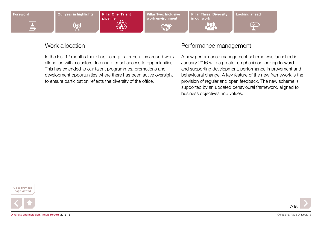

 $\triangleq$ 

 $\binom{n}{k}$ 

[Pillar One: Talent](#page-3-0)  pipeline

work environment

[Pillar Two: Inclusive](#page-7-0) Later Pillar Three: Diversity [Looking ahead](#page-13-0) in our work



### Work allocation

In the last 12 months there has been greater scrutiny around work allocation within clusters, to ensure equal access to opportunities. This has extended to our talent programmes, promotions and development opportunities where there has been active oversight to ensure participation reflects the diversity of the office.

### Performance management

A new performance management scheme was launched in January 2016 with a greater emphasis on looking forward and supporting development, performance improvement and behavioural change. A key feature of the new framework is the provision of regular and open feedback. The new scheme is supported by an updated behavioural framework, aligned to business objectives and values.

 $\overline{\mathbf{Y}}$ 



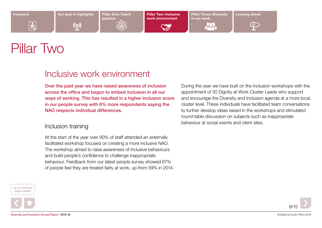[Our year in highlights](#page-2-0) Pillar One: Talent

 $\binom{r}{k}$ 

pipeline

Pillar Two: Inclusive work environment

**AND** 

[Pillar Three: Diversity](#page-11-0) [Looking ahead](#page-13-0) in our work



 $\curvearrowleft$ 

# Pillar Two

<span id="page-7-0"></span> $\triangleq$ 

### Inclusive work environment

Over the past year we have raised awareness of inclusion across the office and begun to embed inclusion in all our ways of working. This has resulted in a higher inclusion score in our people survey with 8% more respondents saying the NAO respects individual differences.

### Inclusion training

At the start of the year over 90% of staff attended an externally facilitated workshop focused on creating a more inclusive NAO. The workshop aimed to raise awareness of inclusive behaviours and build people's confidence to challenge inappropriate behaviour. Feedback from our latest people survey showed 67% of people feel they are treated fairly at work, up from 59% in 2014. During the year we have built on the Inclusion workshops with the appointment of 30 Dignity at Work Cluster Leads who support and encourage the Diversity and Inclusion agenda at a more local, cluster level. These individuals have facilitated team conversations to further develop ideas raised in the workshops and stimulated round-table discussion on subjects such as inappropriate behaviour at social events and client sites.





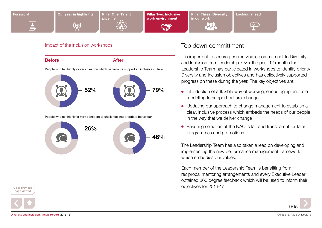

Before **After** 52% People who felt highly or very clear on which behaviours support an inclusive culture People who felt highly or very confident to challenge inappropriate behaviour 79%



### Impact of the inclusion workshops **Top down committment**

It is important to secure genuine visible commitment to Diversity and Inclusion from leadership. Over the past 12 months the Leadership Team has participated in workshops to identify priority Diversity and Inclusion objectives and has collectively supported progress on these during the year. The key objectives are:

- Introduction of a flexible way of working; encouraging and role modelling to support cultural change
- Updating our approach to change management to establish a clear, inclusive process which embeds the needs of our people in the way that we deliver change
- Ensuring selection at the NAO is fair and transparent for talent programmes and promotions

The Leadership Team has also taken a lead on developing and implementing the new performance management framework which embodies our values.

Each member of the Leadership Team is benefiting from reciprocal mentoring arrangements and every Executive Leader obtained 360 degree feedback which will be used to inform their objectives for 2016-17.





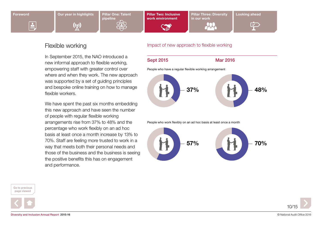

 $\triangleq$ 

 $\binom{n}{k}$ 

pipeline

[Pillar Two: Inclusive](#page-7-0)  work environment

**Castle** 

[Pillar Three: Diversity](#page-11-0) [Looking ahead](#page-13-0) in our work



### Flexible working

In September 2015, the NAO introduced a new informal approach to flexible working, empowering staff with greater control over where and when they work. The new approach was supported by a set of guiding principles and bespoke online training on how to manage flexible workers.

We have spent the past six months embedding this new approach and have seen the number of people with regular flexible working arrangements rise from 37% to 48% and the percentage who work flexibly on an ad hoc basis at least once a month increase by 13% to 70%. Staff are feeling more trusted to work in a way that meets both their personal needs and those of the business and the business is seeing the positive benefits this has on engagement and performance.

Go to previous page viewed





### Impact of new approach to flexible working

Sept 2015 Mar 2016

People who have a regular flexible working arrangement



People who work flexibly on an ad hoc basis at least once a month

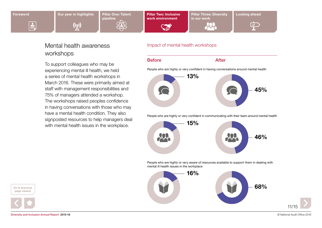$\triangleq$ 



pipeline

[Pillar Two: Inclusive](#page-7-0)  work environment

**SERVICE** 

[Pillar Three: Diversity](#page-11-0) [Looking ahead](#page-13-0) in our work



### Mental health awareness workshops

To support colleagues who may be experiencing mental ill health, we held a series of mental health workshops in March 2016. These were primarily aimed at staff with management responsibilities and 75% of managers attended a workshop. The workshops raised peoples confidence in having conversations with those who may have a mental health condition. They also signposted resources to help managers deal with mental health issues in the workplace.

### Impact of mental health workshops

### Before **After**

People who are highly or very confident in having conversations around mental health



People who are highly or very confident in communicating with their team around mental health



People who are highly or very aware of resources available to support them in dealing with mental ill health issues in the workplace



Go to previous page viewed



11/15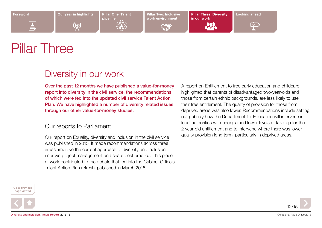<span id="page-11-0"></span> $\triangleq$ 

[Our year in highlights](#page-2-0) Pillar One: Talent

 $\binom{r}{k}$ 

pipeline

work environment

[Pillar Two: Inclusive](#page-7-0) Later Pillar Three: Diversity [Looking ahead](#page-13-0) in our work



 $\curvearrowleft$ 

Pillar Three

## Diversity in our work

Over the past 12 months we have published a value-for-money report into diversity in the civil service, the recommendations of which were fed into the updated civil service Talent Action Plan. We have highlighted a number of diversity related issues through our other value-for-money studies.

### Our reports to Parliament

Our report on [Equality, diversity and inclusion in the civil service](http://merlin.nao.gsi.gov.uk/reports/nao/1516/n151688.pdf) was published in 2015. It made recommendations across three areas: improve the current approach to diversity and inclusion, improve project management and share best practice. This piece of work contributed to the debate that fed into the Cabinet Office's Talent Action Plan refresh, published in March 2016.

A report on [Entitlement to free early education and childcare](http://merlin.nao.gsi.gov.uk/reports/nao/1516/n1516853.pdf) highlighted that parents of disadvantaged two-year-olds and those from certain ethnic backgrounds, are less likely to use their free entitlement. The quality of provision for those from deprived areas was also lower. Recommendations include setting out publicly how the Department for Education will intervene in local authorities with unexplained lower levels of take-up for the 2-year-old entitlement and to intervene where there was lower quality provision long term, particularly in deprived areas.





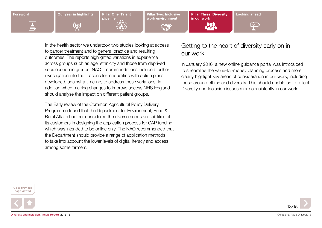

In the health sector we undertook two studies looking at access to [cancer treatment](https://www.nao.org.uk/wp-content/uploads/2015/09/Investigation-into-the-Cancer-Drugs-Fund1.pdf) and to [general practice](https://www.nao.org.uk/wp-content/uploads/2015/11/Stocktake-of-access-to-general-practice-in-England.pdf) and resulting outcomes. The reports highlighted variations in experience across groups such as age, ethnicity and those from deprived socioeconomic groups. NAO recommendations included further investigation into the reasons for inequalities with action plans developed, against a timeline, to address these variations. In addition when making changes to improve access NHS England should analyse the impact on different patient groups.

The [Early review of the Common Agricultural Policy Delivery](http://merlin.nao.gsi.gov.uk/reports/nao/1516/n1516606.pdf)  [Programme](http://merlin.nao.gsi.gov.uk/reports/nao/1516/n1516606.pdf) found that the Department for Environment, Food & Rural Affairs had not considered the diverse needs and abilities of its customers in designing the application process for CAP funding, which was intended to be online only. The NAO recommended that the Department should provide a range of application methods to take into account the lower levels of digital literacy and access among some farmers.

### Getting to the heart of diversity early on in our work

In January 2016, a new online guidance portal was introduced to streamline the value-for-money planning process and more clearly highlight key areas of consideration in our work, including those around ethics and diversity. This should enable us to reflect Diversity and Inclusion issues more consistently in our work.





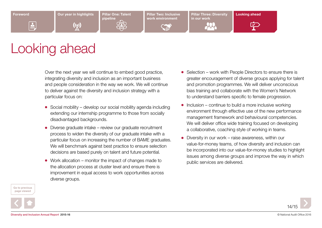$\mathfrak{c}_\chi$ 

pipeline

[Pillar Two: Inclusive](#page-7-0)  work environment

[Pillar Three: Diversity](#page-11-0)  in our work



# <span id="page-13-0"></span>Looking ahead

Over the next year we will continue to embed good practice, integrating diversity and inclusion as an important business and people consideration in the way we work. We will continue to deliver against the diversity and inclusion strategy with a particular focus on:

- $\bullet$  Social mobility develop our social mobility agenda including extending our internship programme to those from socially disadvantaged backgrounds.
- $\bullet$  Diverse graduate intake review our graduate recruitment process to widen the diversity of our graduate intake with a particular focus on increasing the number of BAME graduates. We will benchmark against best practice to ensure selection decisions are based purely on talent and future potential.
- $\bullet$  Work allocation monitor the impact of changes made to the allocation process at cluster level and ensure there is improvement in equal access to work opportunities across diverse groups.
- $\bullet$  Selection work with People Directors to ensure there is greater encouragement of diverse groups applying for talent and promotion programmes. We will deliver unconscious bias training and collaborate with the Women's Network to understand barriers specific to female progression.
- $\bullet$  Inclusion continue to build a more inclusive working environment through effective use of the new performance management framework and behavioural competencies. We will deliver office wide training focused on developing a collaborative, coaching style of working in teams.
- $\bullet$  Diversity in our work raise awareness, within our value-for-money teams, of how diversity and inclusion can be incorporated into our value-for-money studies to highlight issues among diverse groups and improve the way in which public services are delivered.